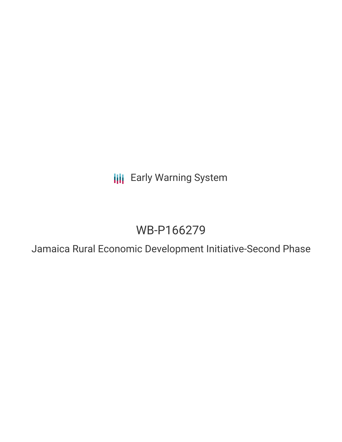**III** Early Warning System

# WB-P166279

Jamaica Rural Economic Development Initiative-Second Phase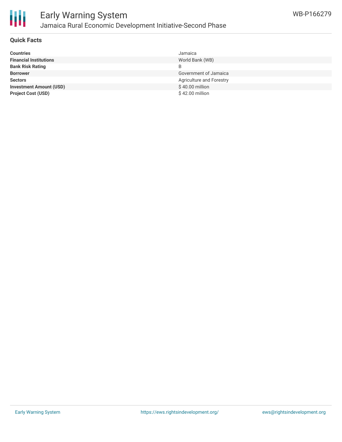

#### **Quick Facts**

| <b>Countries</b>               | Jamaica                  |
|--------------------------------|--------------------------|
| <b>Financial Institutions</b>  | World Bank (WB)          |
| <b>Bank Risk Rating</b>        |                          |
| <b>Borrower</b>                | Government of Jamaica    |
| <b>Sectors</b>                 | Agriculture and Forestry |
| <b>Investment Amount (USD)</b> | $$40.00$ million         |
| <b>Project Cost (USD)</b>      | \$42.00 million          |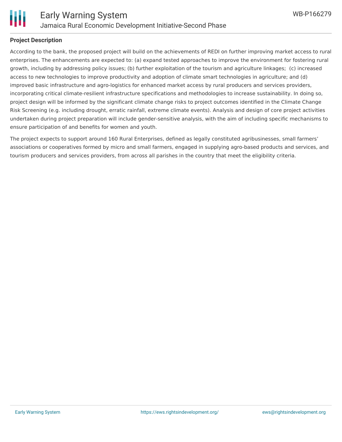

#### **Project Description**

According to the bank, the proposed project will build on the achievements of REDI on further improving market access to rural enterprises. The enhancements are expected to: (a) expand tested approaches to improve the environment for fostering rural growth, including by addressing policy issues; (b) further exploitation of the tourism and agriculture linkages; (c) increased access to new technologies to improve productivity and adoption of climate smart technologies in agriculture; and (d) improved basic infrastructure and agro-logistics for enhanced market access by rural producers and services providers, incorporating critical climate-resilient infrastructure specifications and methodologies to increase sustainability. In doing so, project design will be informed by the significant climate change risks to project outcomes identified in the Climate Change Risk Screening (e.g. including drought, erratic rainfall, extreme climate events). Analysis and design of core project activities undertaken during project preparation will include gender-sensitive analysis, with the aim of including specific mechanisms to ensure participation of and benefits for women and youth.

The project expects to support around 160 Rural Enterprises, defined as legally constituted agribusinesses, small farmers' associations or cooperatives formed by micro and small farmers, engaged in supplying agro-based products and services, and tourism producers and services providers, from across all parishes in the country that meet the eligibility criteria.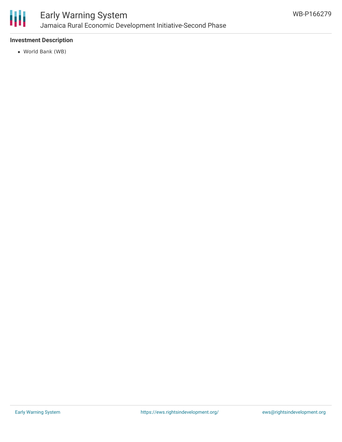

### Early Warning System Jamaica Rural Economic Development Initiative-Second Phase

#### **Investment Description**

World Bank (WB)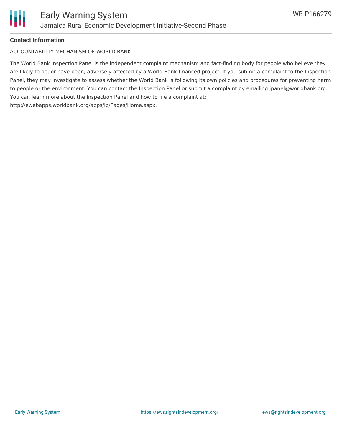

#### **Contact Information**

ACCOUNTABILITY MECHANISM OF WORLD BANK

The World Bank Inspection Panel is the independent complaint mechanism and fact-finding body for people who believe they are likely to be, or have been, adversely affected by a World Bank-financed project. If you submit a complaint to the Inspection Panel, they may investigate to assess whether the World Bank is following its own policies and procedures for preventing harm to people or the environment. You can contact the Inspection Panel or submit a complaint by emailing ipanel@worldbank.org. You can learn more about the Inspection Panel and how to file a complaint at: http://ewebapps.worldbank.org/apps/ip/Pages/Home.aspx.